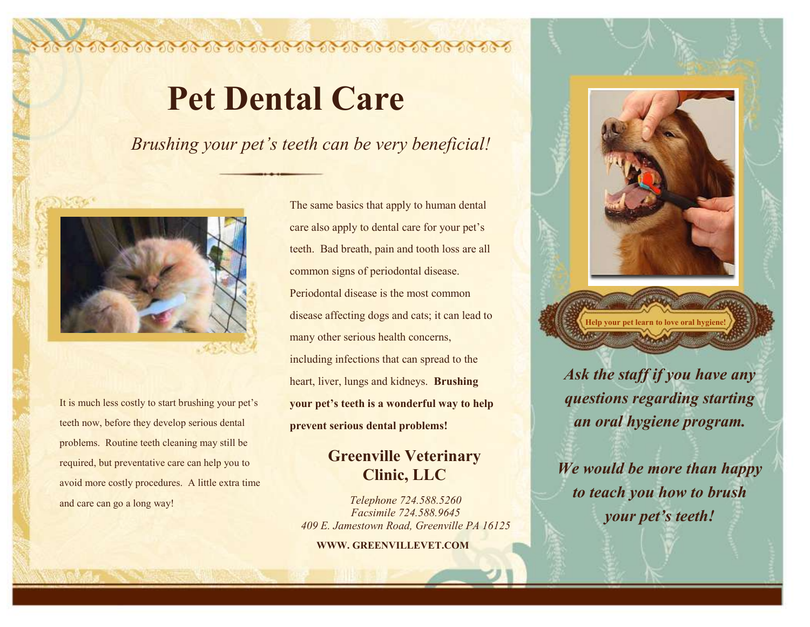## **Pet Dental Care**

*Brushing your pet's teeth can be very beneficial!*



It is much less costly to start brushing your pet's teeth now, before they develop serious dental problems. Routine teeth cleaning may still be required, but preventative care can help you to avoid more costly procedures. A little extra time and care can go a long way!

The same basics that apply to human dental care also apply to dental care for your pet's teeth. Bad breath, pain and tooth loss are all common signs of periodontal disease. Periodontal disease is the most common disease affecting dogs and cats; it can lead to many other serious health concerns, including infections that can spread to the heart, liver, lungs and kidneys. **Brushing your pet's teeth is a wonderful way to help prevent serious dental problems!**

## **Greenville Veterinary Clinic, LLC**

*Telephone 724.588.5260 Facsimile 724.588.9645 409 E. Jamestown Road, Greenville PA 16125*

**WWW. GREENVILLEVET.COM**



*Ask the staff if you have any questions regarding starting an oral hygiene program.* 

*We would be more than happy to teach you how to brush your pet's teeth!*